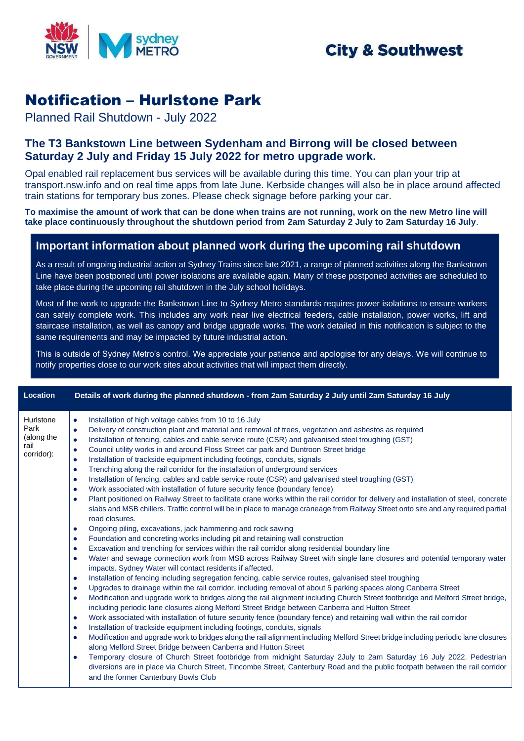

## **City & Southwest**

## Notification – Hurlstone Park

Planned Rail Shutdown - July 2022

## **The T3 Bankstown Line between Sydenham and Birrong will be closed between Saturday 2 July and Friday 15 July 2022 for metro upgrade work.**

Opal enabled rail replacement bus services will be available during this time. You can plan your trip at transport.nsw.info and on real time apps from late June. Kerbside changes will also be in place around affected train stations for temporary bus zones. Please check signage before parking your car.

**To maximise the amount of work that can be done when trains are not running, work on the new Metro line will take place continuously throughout the shutdown period from 2am Saturday 2 July to 2am Saturday 16 July**.

## **Important information about planned work during the upcoming rail shutdown**

As a result of ongoing industrial action at Sydney Trains since late 2021, a range of planned activities along the Bankstown Line have been postponed until power isolations are available again. Many of these postponed activities are scheduled to take place during the upcoming rail shutdown in the July school holidays.

Most of the work to upgrade the Bankstown Line to Sydney Metro standards requires power isolations to ensure workers can safely complete work. This includes any work near live electrical feeders, cable installation, power works, lift and staircase installation, as well as canopy and bridge upgrade works. The work detailed in this notification is subject to the same requirements and may be impacted by future industrial action.

This is outside of Sydney Metro's control. We appreciate your patience and apologise for any delays. We will continue to notify properties close to our work sites about activities that will impact them directly.

| Location                                              | Details of work during the planned shutdown - from 2am Saturday 2 July until 2am Saturday 16 July                                                                                                                                                                                                                                                                                                                                                                                                                                                                                                                                                                                                                                                                                                                                                                                                                                                                                                                                                                                                                                                                                                                                                                                                                                                                                                                                                                                                                                                                                                                                                                                                                                                                                                                                                                                                                                                                                                                                                                                                                                                                                                                                                                                                                                                                                                                                                                                                                                                                                                                                                                                                                                                                                                                                                                                                                      |
|-------------------------------------------------------|------------------------------------------------------------------------------------------------------------------------------------------------------------------------------------------------------------------------------------------------------------------------------------------------------------------------------------------------------------------------------------------------------------------------------------------------------------------------------------------------------------------------------------------------------------------------------------------------------------------------------------------------------------------------------------------------------------------------------------------------------------------------------------------------------------------------------------------------------------------------------------------------------------------------------------------------------------------------------------------------------------------------------------------------------------------------------------------------------------------------------------------------------------------------------------------------------------------------------------------------------------------------------------------------------------------------------------------------------------------------------------------------------------------------------------------------------------------------------------------------------------------------------------------------------------------------------------------------------------------------------------------------------------------------------------------------------------------------------------------------------------------------------------------------------------------------------------------------------------------------------------------------------------------------------------------------------------------------------------------------------------------------------------------------------------------------------------------------------------------------------------------------------------------------------------------------------------------------------------------------------------------------------------------------------------------------------------------------------------------------------------------------------------------------------------------------------------------------------------------------------------------------------------------------------------------------------------------------------------------------------------------------------------------------------------------------------------------------------------------------------------------------------------------------------------------------------------------------------------------------------------------------------------------------|
| Hurlstone<br>Park<br>(along the<br>rail<br>corridor): | Installation of high voltage cables from 10 to 16 July<br>$\bullet$<br>Delivery of construction plant and material and removal of trees, vegetation and asbestos as required<br>$\bullet$<br>Installation of fencing, cables and cable service route (CSR) and galvanised steel troughing (GST)<br>$\bullet$<br>Council utility works in and around Floss Street car park and Duntroon Street bridge<br>$\bullet$<br>Installation of trackside equipment including footings, conduits, signals<br>$\bullet$<br>Trenching along the rail corridor for the installation of underground services<br>$\bullet$<br>Installation of fencing, cables and cable service route (CSR) and galvanised steel troughing (GST)<br>$\bullet$<br>Work associated with installation of future security fence (boundary fence)<br>$\bullet$<br>Plant positioned on Railway Street to facilitate crane works within the rail corridor for delivery and installation of steel, concrete<br>$\bullet$<br>slabs and MSB chillers. Traffic control will be in place to manage craneage from Railway Street onto site and any required partial<br>road closures.<br>Ongoing piling, excavations, jack hammering and rock sawing<br>$\bullet$<br>Foundation and concreting works including pit and retaining wall construction<br>$\bullet$<br>Excavation and trenching for services within the rail corridor along residential boundary line<br>$\bullet$<br>Water and sewage connection work from MSB across Railway Street with single lane closures and potential temporary water<br>$\bullet$<br>impacts. Sydney Water will contact residents if affected.<br>Installation of fencing including segregation fencing, cable service routes, galvanised steel troughing<br>$\bullet$<br>Upgrades to drainage within the rail corridor, including removal of about 5 parking spaces along Canberra Street<br>$\bullet$<br>Modification and upgrade work to bridges along the rail alignment including Church Street footbridge and Melford Street bridge,<br>$\bullet$<br>including periodic lane closures along Melford Street Bridge between Canberra and Hutton Street<br>Work associated with installation of future security fence (boundary fence) and retaining wall within the rail corridor<br>$\bullet$<br>Installation of trackside equipment including footings, conduits, signals<br>$\bullet$<br>Modification and upgrade work to bridges along the rail alignment including Melford Street bridge including periodic lane closures<br>$\bullet$<br>along Melford Street Bridge between Canberra and Hutton Street<br>Temporary closure of Church Street footbridge from midnight Saturday 2July to 2am Saturday 16 July 2022. Pedestrian<br>$\bullet$<br>diversions are in place via Church Street, Tincombe Street, Canterbury Road and the public footpath between the rail corridor<br>and the former Canterbury Bowls Club |